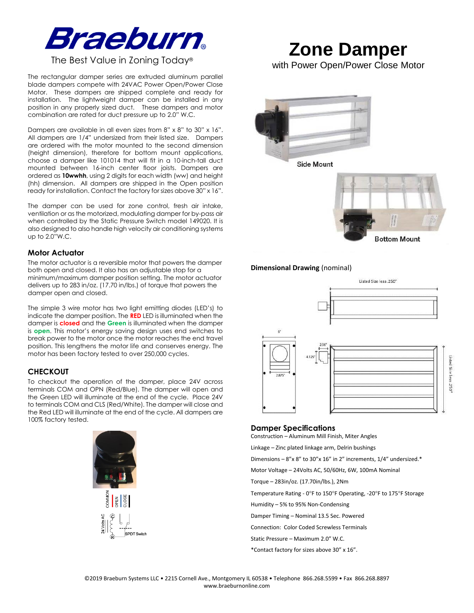

# The Best Value in Zoning Today®

The rectangular damper series are extruded aluminum parallel blade dampers compete with 24VAC Power Open/Power Close Motor. These dampers are shipped complete and ready for installation. The lightweight damper can be installed in any position in any properly sized duct. These dampers and motor combination are rated for duct pressure up to 2.0" W.C.

Dampers are available in all even sizes from 8" x 8" to 30" x 16". All dampers are 1/4" undersized from their listed size. Dampers are ordered with the motor mounted to the second dimension (height dimension), therefore for bottom mount applications, choose a damper like 101014 that will fit in a 10-inch-tall duct mounted between 16-inch center floor joists. Dampers are ordered as **10wwhh**, using 2 digits for each width (ww) and height (hh) dimension. All dampers are shipped in the Open position ready for installation. Contact the factory for sizes above 30" x 16".

The damper can be used for zone control, fresh air intake, ventilation or as the motorized, modulating damper for by-pass air when controlled by the Static Pressure Switch model 149020. It is also designed to also handle high velocity air conditioning systems up to 2.0"W.C.

# **Motor Actuator**

The motor actuator is a reversible motor that powers the damper both open and closed. It also has an adjustable stop for a minimum/maximum damper position setting. The motor actuator delivers up to 283 in/oz. (17.70 in/lbs.) of torque that powers the damper open and closed.

The simple 3 wire motor has two light emitting diodes (LED's) to indicate the damper position. The **RED** LED is illuminated when the damper is **closed** and the **Green** is illuminated when the damper is **open**. This motor's energy saving design uses end switches to break power to the motor once the motor reaches the end travel position. This lengthens the motor life and conserves energy. The motor has been factory tested to over 250,000 cycles.

## **CHECKOUT**

To checkout the operation of the damper, place 24V across terminals COM and OPN (Red/Blue). The damper will open and the Green LED will illuminate at the end of the cycle. Place 24V to terminals COM and CLS (Red/White). The damper will close and the Red LED will illuminate at the end of the cycle. All dampers are 100% factory tested.



# **Zone Damper**

with Power Open/Power Close Motor





## **Dimensional Drawing** (nominal)



## **Damper Specifications**

Construction – Aluminum Mill Finish, Miter Angles

Linkage – Zinc plated linkage arm, Delrin bushings

Dimensions – 8"x 8" to 30"x 16" in 2" increments, 1/4" undersized.\*

Motor Voltage – 24Volts AC, 50/60Hz, 6W, 100mA Nominal

Torque – 283in/oz. (17.70in/lbs.), 2Nm

Temperature Rating - 0°F to 150°F Operating, -20°F to 175°F Storage

Humidity – 5% to 95% Non-Condensing

Damper Timing – Nominal 13.5 Sec. Powered

Connection: Color Coded Screwless Terminals

Static Pressure – Maximum 2.0" W.C.

\*Contact factory for sizes above 30" x 16".